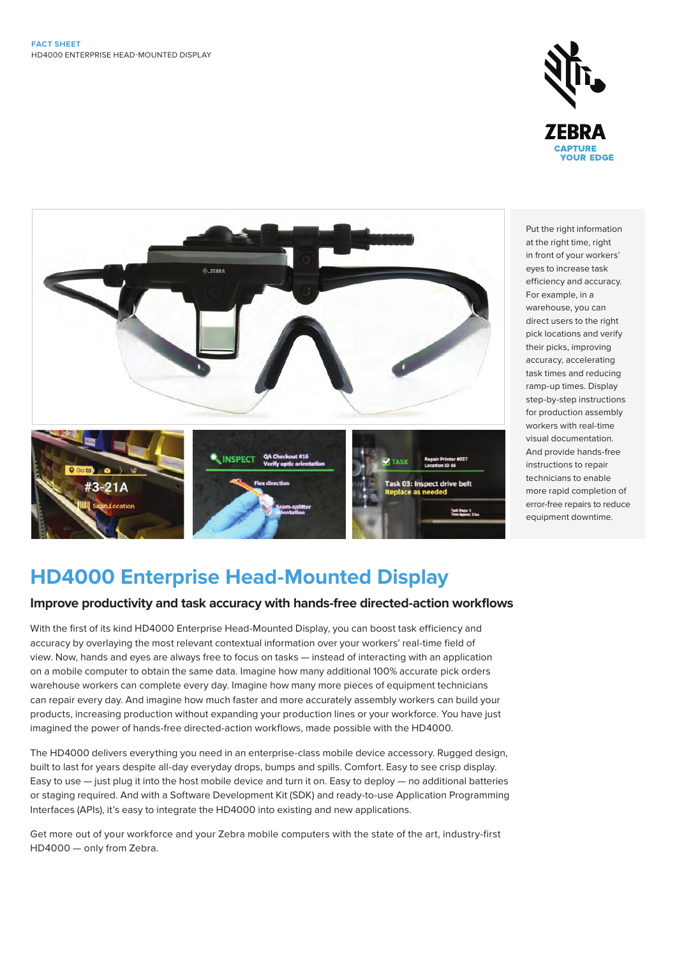



Put the right information at the right time, right in front of your workers' eyes to increase task efficiency and accuracy. For example, in a warehouse, you can direct users to the right pick locations and verify their picks, improving accuracy, accelerating task times and reducing ramp-up times. Display step-by-step instructions for production assembly workers with real-time visual documentation. And provide hands-free instructions to repair technicians to enable more rapid completion of error-free repairs to reduce equipment downtime.

# **HD4000 Enterprise Head-Mounted Display**

# **Improve productivity and task accuracy with hands-free directed-action workflows**

With the first of its kind HD4000 Enterprise Head-Mounted Display, you can boost task efficiency and accuracy by overlaying the most relevant contextual information over your workers' real-time field of view. Now, hands and eyes are always free to focus on tasks — instead of interacting with an application on a mobile computer to obtain the same data. Imagine how many additional 100% accurate pick orders warehouse workers can complete every day. Imagine how many more pieces of equipment technicians can repair every day. And imagine how much faster and more accurately assembly workers can build your products, increasing production without expanding your production lines or your workforce. You have just imagined the power of hands-free directed-action workflows, made possible with the HD4000.

The HD4000 delivers everything you need in an enterprise-class mobile device accessory. Rugged design, built to last for years despite all-day everyday drops, bumps and spills. Comfort. Easy to see crisp display. Easy to use — just plug it into the host mobile device and turn it on. Easy to deploy — no additional batteries or staging required. And with a Software Development Kit (SDK) and ready-to-use Application Programming Interfaces (APIs), it's easy to integrate the HD4000 into existing and new applications.

Get more out of your workforce and your Zebra mobile computers with the state of the art, industry-first HD4000 — only from Zebra.